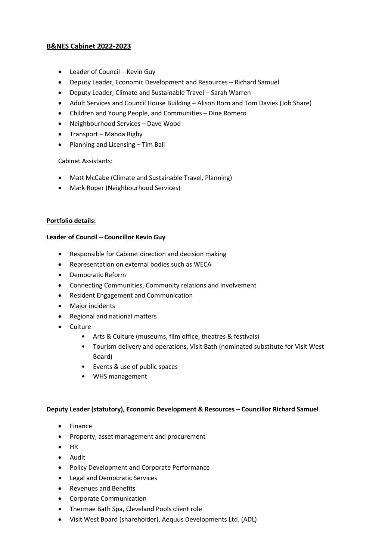# **B&NES Cabinet 2022-2023**

- Leader of Council Kevin Guy
- Deputy Leader, Economic Development and Resources Richard Samuel
- Deputy Leader, Climate and Sustainable Travel Sarah Warren
- Adult Services and Council House Building Alison Born and Tom Davies (Job Share)
- Children and Young People, and Communities Dine Romero
- Neighbourhood Services Dave Wood
- Transport Manda Rigby
- Planning and Licensing Tim Ball

#### Cabinet Assistants:

- Matt McCabe (Climate and Sustainable Travel, Planning)
- Mark Roper (Neighbourhood Services)

### **Portfolio details:**

#### **Leader of Council – Councillor Kevin Guy**

- Responsible for Cabinet direction and decision making
- Representation on external bodies such as WECA
- Democratic Reform
- Connecting Communities, Community relations and involvement
- Resident Engagement and Communication
- Major incidents
- Regional and national matters
- **Culture** 
	- Arts & Culture (museums, film office, theatres & festivals)
	- Tourism delivery and operations, Visit Bath (nominated substitute for Visit West Board)
	- Events & use of public spaces
	- WHS management

#### **Deputy Leader (statutory), Economic Development & Resources – Councillor Richard Samuel**

- Finance
- Property, asset management and procurement
- HR
- Audit
- Policy Development and Corporate Performance
- Legal and Democratic Services
- Revenues and Benefits
- Corporate Communication
- Thermae Bath Spa, Cleveland Pools client role
- Visit West Board (shareholder), Aequus Developments Ltd. (ADL)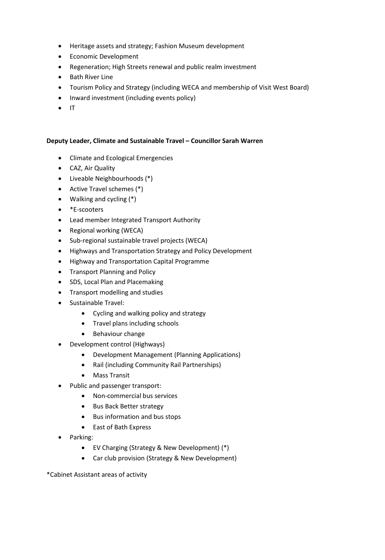- Heritage assets and strategy; Fashion Museum development
- Economic Development
- Regeneration; High Streets renewal and public realm investment
- Bath River Line
- Tourism Policy and Strategy (including WECA and membership of Visit West Board)
- Inward investment (including events policy)
- IT

# **Deputy Leader, Climate and Sustainable Travel – Councillor Sarah Warren**

- Climate and Ecological Emergencies
- CAZ, Air Quality
- Liveable Neighbourhoods (\*)
- Active Travel schemes (\*)
- Walking and cycling (\*)
- \*E-scooters
- Lead member Integrated Transport Authority
- Regional working (WECA)
- Sub-regional sustainable travel projects (WECA)
- Highways and Transportation Strategy and Policy Development
- Highway and Transportation Capital Programme
- Transport Planning and Policy
- SDS, Local Plan and Placemaking
- Transport modelling and studies
- Sustainable Travel:
	- Cycling and walking policy and strategy
	- Travel plans including schools
	- Behaviour change
- Development control (Highways)
	- Development Management (Planning Applications)
	- Rail (including Community Rail Partnerships)
	- Mass Transit
- Public and passenger transport:
	- Non-commercial bus services
	- Bus Back Better strategy
	- Bus information and bus stops
	- East of Bath Express
- Parking:
	- EV Charging (Strategy & New Development) (\*)
	- Car club provision (Strategy & New Development)

\*Cabinet Assistant areas of activity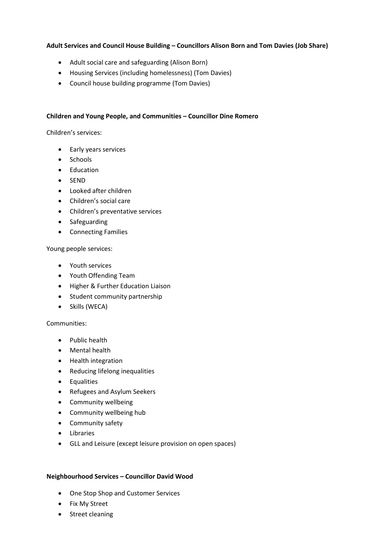# **Adult Services and Council House Building – Councillors Alison Born and Tom Davies (Job Share)**

- Adult social care and safeguarding (Alison Born)
- Housing Services (including homelessness) (Tom Davies)
- Council house building programme (Tom Davies)

### **Children and Young People, and Communities – Councillor Dine Romero**

Children's services:

- Early years services
- Schools
- Education
- SEND
- Looked after children
- Children's social care
- Children's preventative services
- Safeguarding
- Connecting Families

Young people services:

- Youth services
- Youth Offending Team
- Higher & Further Education Liaison
- Student community partnership
- Skills (WECA)

### Communities:

- Public health
- Mental health
- Health integration
- Reducing lifelong inequalities
- Equalities
- Refugees and Asylum Seekers
- Community wellbeing
- Community wellbeing hub
- Community safety
- Libraries
- GLL and Leisure (except leisure provision on open spaces)

### **Neighbourhood Services – Councillor David Wood**

- One Stop Shop and Customer Services
- Fix My Street
- Street cleaning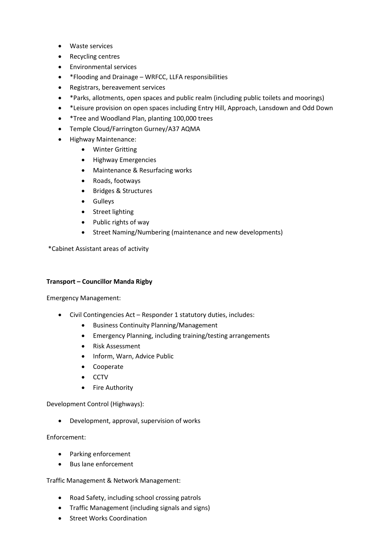- Waste services
- Recycling centres
- Environmental services
- \*Flooding and Drainage WRFCC, LLFA responsibilities
- Registrars, bereavement services
- \*Parks, allotments, open spaces and public realm (including public toilets and moorings)
- \*Leisure provision on open spaces including Entry Hill, Approach, Lansdown and Odd Down
- \*Tree and Woodland Plan, planting 100,000 trees
- Temple Cloud/Farrington Gurney/A37 AQMA
- Highway Maintenance:
	- Winter Gritting
	- Highway Emergencies
	- Maintenance & Resurfacing works
	- Roads, footways
	- Bridges & Structures
	- Gulleys
	- Street lighting
	- Public rights of way
	- Street Naming/Numbering (maintenance and new developments)

\*Cabinet Assistant areas of activity

### **Transport – Councillor Manda Rigby**

Emergency Management:

- Civil Contingencies Act Responder 1 statutory duties, includes:
	- Business Continuity Planning/Management
	- Emergency Planning, including training/testing arrangements
	- Risk Assessment
	- Inform, Warn, Advice Public
	- Cooperate
	- CCTV
	- Fire Authority

Development Control (Highways):

• Development, approval, supervision of works

Enforcement:

- Parking enforcement
- Bus lane enforcement

Traffic Management & Network Management:

- Road Safety, including school crossing patrols
- Traffic Management (including signals and signs)
- Street Works Coordination